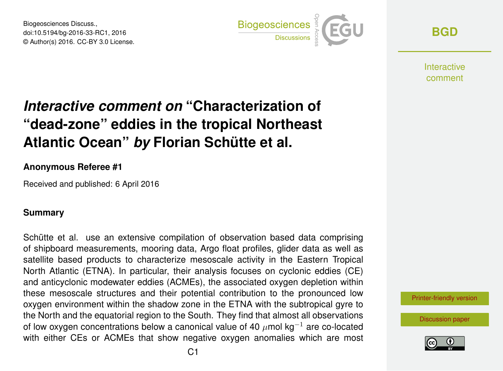Biogeosciences Discuss., doi:10.5194/bg-2016-33-RC1, 2016 © Author(s) 2016. CC-BY 3.0 License.



**[BGD](http://www.biogeosciences-discuss.net/)**

**Interactive** comment

# *Interactive comment on* **"Characterization of "dead-zone" eddies in the tropical Northeast Atlantic Ocean"** *by* **Florian Schütte et al.**

### **Anonymous Referee #1**

Received and published: 6 April 2016

### **Summary**

Schütte et al. use an extensive compilation of observation based data comprising of shipboard measurements, mooring data, Argo float profiles, glider data as well as satellite based products to characterize mesoscale activity in the Eastern Tropical North Atlantic (ETNA). In particular, their analysis focuses on cyclonic eddies (CE) and anticyclonic modewater eddies (ACMEs), the associated oxygen depletion within these mesoscale structures and their potential contribution to the pronounced low oxygen environment within the shadow zone in the ETNA with the subtropical gyre to the North and the equatorial region to the South. They find that almost all observations of low oxygen concentrations below a canonical value of 40  $\mu$ mol kg<sup>-1</sup> are co-located with either CEs or ACMEs that show negative oxygen anomalies which are most

[Printer-friendly version](http://www.biogeosciences-discuss.net/bg-2016-33/bg-2016-33-RC1-print.pdf)

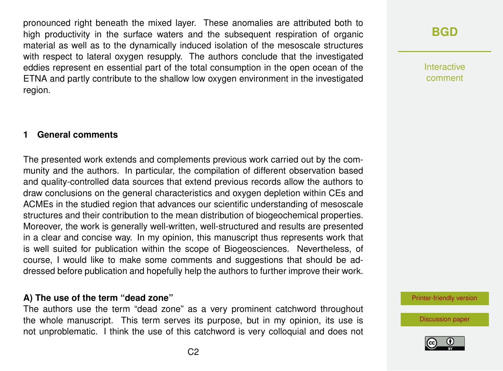pronounced right beneath the mixed layer. These anomalies are attributed both to high productivity in the surface waters and the subsequent respiration of organic material as well as to the dynamically induced isolation of the mesoscale structures with respect to lateral oxygen resupply. The authors conclude that the investigated eddies represent en essential part of the total consumption in the open ocean of the ETNA and partly contribute to the shallow low oxygen environment in the investigated region.

### **1 General comments**

The presented work extends and complements previous work carried out by the community and the authors. In particular, the compilation of different observation based and quality-controlled data sources that extend previous records allow the authors to draw conclusions on the general characteristics and oxygen depletion within CEs and ACMEs in the studied region that advances our scientific understanding of mesoscale structures and their contribution to the mean distribution of biogeochemical properties. Moreover, the work is generally well-written, well-structured and results are presented in a clear and concise way. In my opinion, this manuscript thus represents work that is well suited for publication within the scope of Biogeosciences. Nevertheless, of course, I would like to make some comments and suggestions that should be addressed before publication and hopefully help the authors to further improve their work.

#### **A) The use of the term "dead zone"**

The authors use the term "dead zone" as a very prominent catchword throughout the whole manuscript. This term serves its purpose, but in my opinion, its use is not unproblematic. I think the use of this catchword is very colloquial and does not

## **[BGD](http://www.biogeosciences-discuss.net/)**

Interactive comment

[Printer-friendly version](http://www.biogeosciences-discuss.net/bg-2016-33/bg-2016-33-RC1-print.pdf)

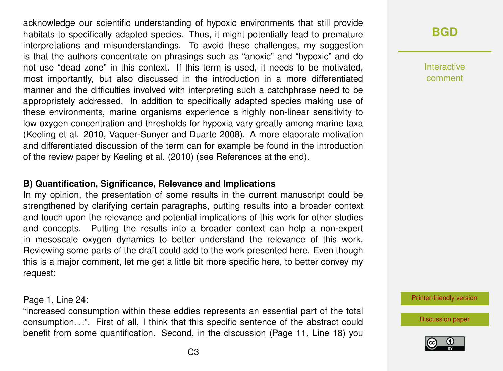acknowledge our scientific understanding of hypoxic environments that still provide habitats to specifically adapted species. Thus, it might potentially lead to premature interpretations and misunderstandings. To avoid these challenges, my suggestion is that the authors concentrate on phrasings such as "anoxic" and "hypoxic" and do not use "dead zone" in this context. If this term is used, it needs to be motivated, most importantly, but also discussed in the introduction in a more differentiated manner and the difficulties involved with interpreting such a catchphrase need to be appropriately addressed. In addition to specifically adapted species making use of these environments, marine organisms experience a highly non-linear sensitivity to low oxygen concentration and thresholds for hypoxia vary greatly among marine taxa (Keeling et al. 2010, Vaquer-Sunyer and Duarte 2008). A more elaborate motivation and differentiated discussion of the term can for example be found in the introduction of the review paper by Keeling et al. (2010) (see References at the end).

### **B) Quantification, Significance, Relevance and Implications**

In my opinion, the presentation of some results in the current manuscript could be strengthened by clarifying certain paragraphs, putting results into a broader context and touch upon the relevance and potential implications of this work for other studies and concepts. Putting the results into a broader context can help a non-expert in mesoscale oxygen dynamics to better understand the relevance of this work. Reviewing some parts of the draft could add to the work presented here. Even though this is a major comment, let me get a little bit more specific here, to better convey my request:

Page 1, Line 24:

"increased consumption within these eddies represents an essential part of the total consumption. . .". First of all, I think that this specific sentence of the abstract could benefit from some quantification. Second, in the discussion (Page 11, Line 18) you **[BGD](http://www.biogeosciences-discuss.net/)**

Interactive comment

[Printer-friendly version](http://www.biogeosciences-discuss.net/bg-2016-33/bg-2016-33-RC1-print.pdf)

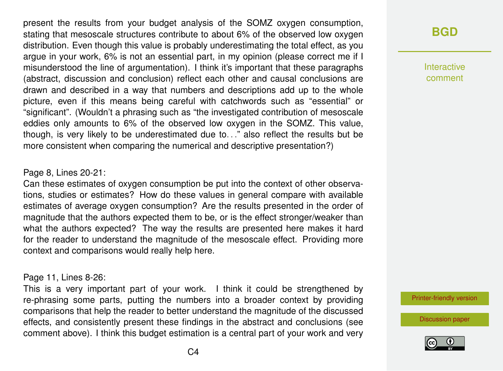present the results from your budget analysis of the SOMZ oxygen consumption, stating that mesoscale structures contribute to about 6% of the observed low oxygen distribution. Even though this value is probably underestimating the total effect, as you argue in your work, 6% is not an essential part, in my opinion (please correct me if I misunderstood the line of argumentation). I think it's important that these paragraphs (abstract, discussion and conclusion) reflect each other and causal conclusions are drawn and described in a way that numbers and descriptions add up to the whole picture, even if this means being careful with catchwords such as "essential" or "significant". (Wouldn't a phrasing such as "the investigated contribution of mesoscale eddies only amounts to 6% of the observed low oxygen in the SOMZ. This value, though, is very likely to be underestimated due to. . ." also reflect the results but be more consistent when comparing the numerical and descriptive presentation?)

#### Page 8, Lines 20-21:

Can these estimates of oxygen consumption be put into the context of other observations, studies or estimates? How do these values in general compare with available estimates of average oxygen consumption? Are the results presented in the order of magnitude that the authors expected them to be, or is the effect stronger/weaker than what the authors expected? The way the results are presented here makes it hard for the reader to understand the magnitude of the mesoscale effect. Providing more context and comparisons would really help here.

#### Page 11, Lines 8-26:

This is a very important part of your work. I think it could be strengthened by re-phrasing some parts, putting the numbers into a broader context by providing comparisons that help the reader to better understand the magnitude of the discussed effects, and consistently present these findings in the abstract and conclusions (see comment above). I think this budget estimation is a central part of your work and very

## **[BGD](http://www.biogeosciences-discuss.net/)**

Interactive comment

[Printer-friendly version](http://www.biogeosciences-discuss.net/bg-2016-33/bg-2016-33-RC1-print.pdf)

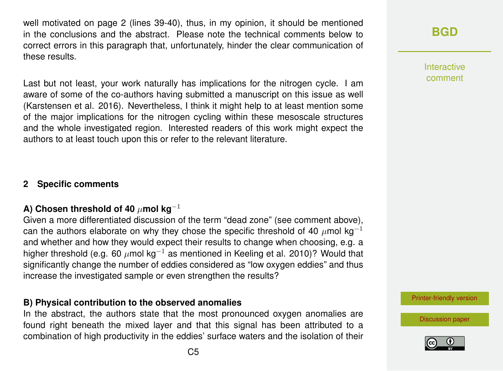well motivated on page 2 (lines 39-40), thus, in my opinion, it should be mentioned in the conclusions and the abstract. Please note the technical comments below to correct errors in this paragraph that, unfortunately, hinder the clear communication of these results.

Last but not least, your work naturally has implications for the nitrogen cycle. I am aware of some of the co-authors having submitted a manuscript on this issue as well (Karstensen et al. 2016). Nevertheless, I think it might help to at least mention some of the major implications for the nitrogen cycling within these mesoscale structures and the whole investigated region. Interested readers of this work might expect the authors to at least touch upon this or refer to the relevant literature.

### **2 Specific comments**

### **A) Chosen threshold of 40** µ**mol kg**−<sup>1</sup>

Given a more differentiated discussion of the term "dead zone" (see comment above), can the authors elaborate on why they chose the specific threshold of 40  $\mu$ mol kg<sup>-1</sup> and whether and how they would expect their results to change when choosing, e.g. a higher threshold (e.g. 60  $\mu$ mol kg<sup>-1</sup> as mentioned in Keeling et al. 2010)? Would that significantly change the number of eddies considered as "low oxygen eddies" and thus increase the investigated sample or even strengthen the results?

### **B) Physical contribution to the observed anomalies**

In the abstract, the authors state that the most pronounced oxygen anomalies are found right beneath the mixed layer and that this signal has been attributed to a combination of high productivity in the eddies' surface waters and the isolation of their Interactive comment

[Printer-friendly version](http://www.biogeosciences-discuss.net/bg-2016-33/bg-2016-33-RC1-print.pdf)

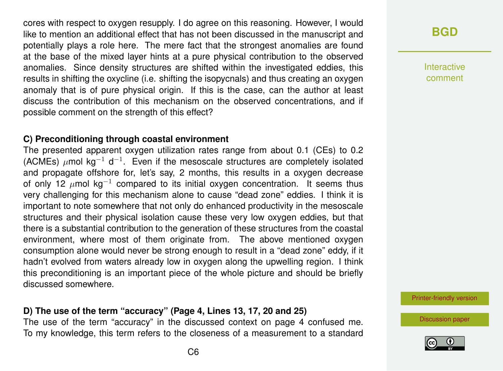cores with respect to oxygen resupply. I do agree on this reasoning. However, I would like to mention an additional effect that has not been discussed in the manuscript and potentially plays a role here. The mere fact that the strongest anomalies are found at the base of the mixed layer hints at a pure physical contribution to the observed anomalies. Since density structures are shifted within the investigated eddies, this results in shifting the oxycline (i.e. shifting the isopycnals) and thus creating an oxygen anomaly that is of pure physical origin. If this is the case, can the author at least discuss the contribution of this mechanism on the observed concentrations, and if possible comment on the strength of this effect?

### **C) Preconditioning through coastal environment**

The presented apparent oxygen utilization rates range from about 0.1 (CEs) to 0.2 (ACMEs)  $\mu$ mol kg<sup>-1</sup> d<sup>-1</sup>. Even if the mesoscale structures are completely isolated and propagate offshore for, let's say, 2 months, this results in a oxygen decrease of only 12  $\mu$ mol kg<sup>-1</sup> compared to its initial oxygen concentration. It seems thus very challenging for this mechanism alone to cause "dead zone" eddies. I think it is important to note somewhere that not only do enhanced productivity in the mesoscale structures and their physical isolation cause these very low oxygen eddies, but that there is a substantial contribution to the generation of these structures from the coastal environment, where most of them originate from. The above mentioned oxygen consumption alone would never be strong enough to result in a "dead zone" eddy, if it hadn't evolved from waters already low in oxygen along the upwelling region. I think this preconditioning is an important piece of the whole picture and should be briefly discussed somewhere.

### **D) The use of the term "accuracy" (Page 4, Lines 13, 17, 20 and 25)**

The use of the term "accuracy" in the discussed context on page 4 confused me. To my knowledge, this term refers to the closeness of a measurement to a standard

## **[BGD](http://www.biogeosciences-discuss.net/)**

Interactive comment

[Printer-friendly version](http://www.biogeosciences-discuss.net/bg-2016-33/bg-2016-33-RC1-print.pdf)

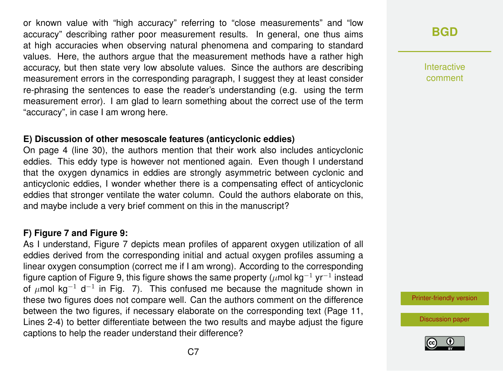or known value with "high accuracy" referring to "close measurements" and "low accuracy" describing rather poor measurement results. In general, one thus aims at high accuracies when observing natural phenomena and comparing to standard values. Here, the authors argue that the measurement methods have a rather high accuracy, but then state very low absolute values. Since the authors are describing measurement errors in the corresponding paragraph, I suggest they at least consider re-phrasing the sentences to ease the reader's understanding (e.g. using the term measurement error). I am glad to learn something about the correct use of the term "accuracy", in case I am wrong here.

### **E) Discussion of other mesoscale features (anticyclonic eddies)**

On page 4 (line 30), the authors mention that their work also includes anticyclonic eddies. This eddy type is however not mentioned again. Even though I understand that the oxygen dynamics in eddies are strongly asymmetric between cyclonic and anticyclonic eddies, I wonder whether there is a compensating effect of anticyclonic eddies that stronger ventilate the water column. Could the authors elaborate on this, and maybe include a very brief comment on this in the manuscript?

### **F) Figure 7 and Figure 9:**

As I understand, Figure 7 depicts mean profiles of apparent oxygen utilization of all eddies derived from the corresponding initial and actual oxygen profiles assuming a linear oxygen consumption (correct me if I am wrong). According to the corresponding figure caption of Figure 9, this figure shows the same property ( $\mu$ mol kg $^{-1}$  yr $^{-1}$  instead of  $\mu$ mol kg<sup>-1</sup> d<sup>-1</sup> in Fig. 7). This confused me because the magnitude shown in these two figures does not compare well. Can the authors comment on the difference between the two figures, if necessary elaborate on the corresponding text (Page 11, Lines 2-4) to better differentiate between the two results and maybe adjust the figure captions to help the reader understand their difference?

Interactive comment

[Printer-friendly version](http://www.biogeosciences-discuss.net/bg-2016-33/bg-2016-33-RC1-print.pdf)

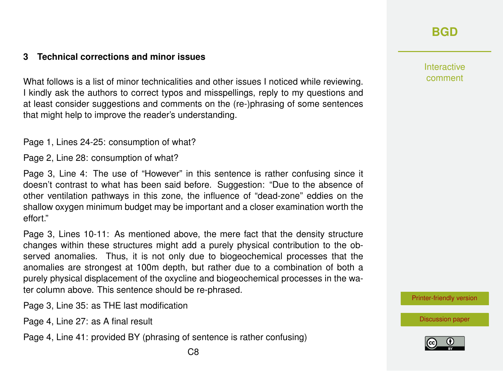## **[BGD](http://www.biogeosciences-discuss.net/)**

Interactive comment

[Printer-friendly version](http://www.biogeosciences-discuss.net/bg-2016-33/bg-2016-33-RC1-print.pdf)

[Discussion paper](http://www.biogeosciences-discuss.net/bg-2016-33)



### **3 Technical corrections and minor issues**

What follows is a list of minor technicalities and other issues I noticed while reviewing. I kindly ask the authors to correct typos and misspellings, reply to my questions and at least consider suggestions and comments on the (re-)phrasing of some sentences that might help to improve the reader's understanding.

Page 1, Lines 24-25: consumption of what?

Page 2, Line 28: consumption of what?

Page 3, Line 4: The use of "However" in this sentence is rather confusing since it doesn't contrast to what has been said before. Suggestion: "Due to the absence of other ventilation pathways in this zone, the influence of "dead-zone" eddies on the shallow oxygen minimum budget may be important and a closer examination worth the effort."

Page 3, Lines 10-11: As mentioned above, the mere fact that the density structure changes within these structures might add a purely physical contribution to the observed anomalies. Thus, it is not only due to biogeochemical processes that the anomalies are strongest at 100m depth, but rather due to a combination of both a purely physical displacement of the oxycline and biogeochemical processes in the water column above. This sentence should be re-phrased.

Page 3, Line 35: as THE last modification

Page 4, Line 27: as A final result

Page 4, Line 41: provided BY (phrasing of sentence is rather confusing)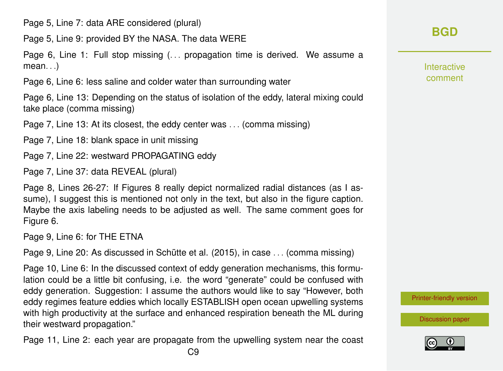Page 5, Line 7: data ARE considered (plural)

Page 5, Line 9: provided BY the NASA. The data WERE

Page 6, Line 1: Full stop missing (. . . propagation time is derived. We assume a  $mean$ ...

Page 6, Line 6: less saline and colder water than surrounding water

Page 6, Line 13: Depending on the status of isolation of the eddy, lateral mixing could take place (comma missing)

Page 7, Line 13: At its closest, the eddy center was . . . (comma missing)

Page 7, Line 18: blank space in unit missing

Page 7, Line 22: westward PROPAGATING eddy

Page 7, Line 37: data REVEAL (plural)

Page 8, Lines 26-27: If Figures 8 really depict normalized radial distances (as I assume), I suggest this is mentioned not only in the text, but also in the figure caption. Maybe the axis labeling needs to be adjusted as well. The same comment goes for Figure 6.

Page 9, Line 6: for THE ETNA

Page 9, Line 20: As discussed in Schütte et al. (2015), in case . . . (comma missing)

Page 10, Line 6: In the discussed context of eddy generation mechanisms, this formulation could be a little bit confusing, i.e. the word "generate" could be confused with eddy generation. Suggestion: I assume the authors would like to say "However, both eddy regimes feature eddies which locally ESTABLISH open ocean upwelling systems with high productivity at the surface and enhanced respiration beneath the ML during their westward propagation."

Page 11, Line 2: each year are propagate from the upwelling system near the coast

Interactive comment

[Printer-friendly version](http://www.biogeosciences-discuss.net/bg-2016-33/bg-2016-33-RC1-print.pdf)